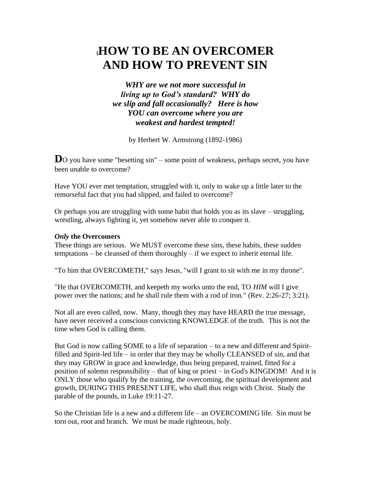# **(HOW TO BE AN OVERCOMER AND HOW TO PREVENT SIN**

*WHY are we not more successful in living up to God's standard? WHY do we slip and fall occasionally? Here is how YOU can overcome where you are weakest and hardest tempted!*

by Herbert W. Armstrong (1892-1986)

**D**O you have some "besetting sin" – some point of weakness, perhaps secret, you have been unable to overcome?

Have YOU ever met temptation, struggled with it, only to wake up a little later to the remorseful fact that you had slipped, and failed to overcome?

Or perhaps you are struggling with some habit that holds you as its slave – struggling, wrestling, always fighting it, yet somehow never able to conquer it.

## *Only* **the Overcomers**

These things are serious. We MUST overcome these sins, these habits, these sudden temptations – be cleansed of them thoroughly – if we expect to inherit eternal life.

"To him that OVERCOMETH," says Jesus, "will I grant to sit with me in my throne".

"He that OVERCOMETH, and keepeth my works unto the end, TO *HIM* will I give power over the nations; and he shall rule them with a rod of iron." (Rev. 2:26-27; 3:21).

Not all are even called, now. Many, though they may have HEARD the true message, have never received a conscious convicting KNOWLEDGE of the truth. This is not the time when God is calling them.

But God is now calling SOME to a life of separation – to a new and different and Spiritfilled and Spirit-led life – in order that they may be wholly CLEANSED of sin, and that they may GROW in grace and knowledge, thus being prepared, trained, fitted for a position of solemn responsibility – that of king or priest – in God's KINGDOM! And it is ONLY those who qualify by the training, the overcoming, the spiritual development and growth, DURING THIS PRESENT LIFE, who shall thus reign with Christ. Study the parable of the pounds, in Luke 19:11-27.

So the Christian life is a new and a different life – an OVERCOMING life. Sin must be torn out, root and branch. We must be made righteous, holy.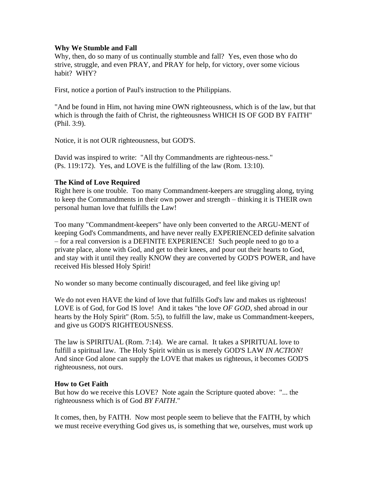### **Why We Stumble and Fall**

Why, then, do so many of us continually stumble and fall? Yes, even those who do strive, struggle, and even PRAY, and PRAY for help, for victory, over some vicious habit? WHY?

First, notice a portion of Paul's instruction to the Philippians.

"And be found in Him, not having mine OWN righteousness, which is of the law, but that which is through the faith of Christ, the righteousness WHICH IS OF GOD BY FAITH" (Phil. 3:9).

Notice, it is not OUR righteousness, but GOD'S.

David was inspired to write: "All thy Commandments are righteous-ness." (Ps. 119:172). Yes, and LOVE is the fulfilling of the law (Rom. 13:10).

### **The Kind of Love Required**

Right here is one trouble. Too many Commandment-keepers are struggling along, trying to keep the Commandments in their own power and strength – thinking it is THEIR own personal human love that fulfills the Law!

Too many "Commandment-keepers" have only been converted to the ARGU-MENT of keeping God's Commandments, and have never really EXPERIENCED definite salvation – for a real conversion is a DEFINITE EXPERIENCE! Such people need to go to a private place, alone with God, and get to their knees, and pour out their hearts to God, and stay with it until they really KNOW they are converted by GOD'S POWER, and have received His blessed Holy Spirit!

No wonder so many become continually discouraged, and feel like giving up!

We do not even HAVE the kind of love that fulfills God's law and makes us righteous! LOVE is of God, for God IS love! And it takes "the love *OF GOD*, shed abroad in our hearts by the Holy Spirit" (Rom. 5:5), to fulfill the law, make us Commandment-keepers, and give us GOD'S RIGHTEOUSNESS.

The law is SPIRITUAL (Rom. 7:14). We are carnal. It takes a SPIRITUAL love to fulfill a spiritual law. The Holy Spirit within us is merely GOD'S LAW *IN ACTION!*  And since God alone can supply the LOVE that makes us righteous, it becomes GOD'S righteousness, not ours.

### **How to Get Faith**

But how do we receive this LOVE? Note again the Scripture quoted above: "... the righteousness which is of God *BY FAITH*."

It comes, then, by FAITH. Now most people seem to believe that the FAITH, by which we must receive everything God gives us, is something that we, ourselves, must work up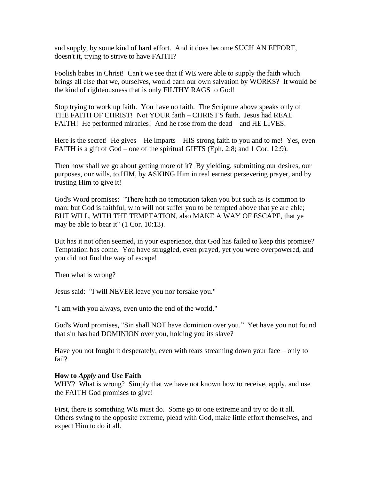and supply, by some kind of hard effort. And it does become SUCH AN EFFORT, doesn't it, trying to strive to have FAITH?

Foolish babes in Christ! Can't we see that if WE were able to supply the faith which brings all else that we, ourselves, would earn our own salvation by WORKS? It would be the kind of righteousness that is only FILTHY RAGS to God!

Stop trying to work up faith. You have no faith. The Scripture above speaks only of THE FAITH OF CHRIST! Not YOUR faith – CHRIST'S faith. Jesus had REAL FAITH! He performed miracles! And he rose from the dead – and HE LIVES.

Here is the secret! He gives – He imparts – HIS strong faith to you and to me! Yes, even FAITH is a gift of God – one of the spiritual GIFTS (Eph. 2:8; and 1 Cor. 12:9).

Then how shall we go about getting more of it? By yielding, submitting our desires, our purposes, our wills, to HIM, by ASKING Him in real earnest persevering prayer, and by trusting Him to give it!

God's Word promises: "There hath no temptation taken you but such as is common to man: but God is faithful, who will not suffer you to be tempted above that ye are able; BUT WILL, WITH THE TEMPTATION, also MAKE A WAY OF ESCAPE, that ye may be able to bear it" (1 Cor. 10:13).

But has it not often seemed, in your experience, that God has failed to keep this promise? Temptation has come. You have struggled, even prayed, yet you were overpowered, and you did not find the way of escape!

Then what is wrong?

Jesus said: "I will NEVER leave you nor forsake you."

"I am with you always, even unto the end of the world."

God's Word promises, "Sin shall NOT have dominion over you." Yet have you not found that sin has had DOMINION over you, holding you its slave?

Have you not fought it desperately, even with tears streaming down your face – only to fail?

### **How to** *Apply* **and Use Faith**

WHY? What is wrong? Simply that we have not known how to receive, apply, and use the FAITH God promises to give!

First, there is something WE must do. Some go to one extreme and try to do it all. Others swing to the opposite extreme, plead with God, make little effort themselves, and expect Him to do it all.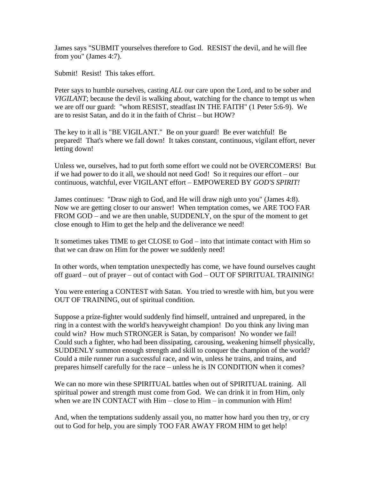James says "SUBMIT yourselves therefore to God. RESIST the devil, and he will flee from you" (James 4:7).

Submit! Resist! This takes effort.

Peter says to humble ourselves, casting *ALL* our care upon the Lord, and to be sober and *VIGILANT*; because the devil is walking about, watching for the chance to tempt us when we are off our guard: "whom RESIST, steadfast IN THE FAITH" (1 Peter 5:6-9). We are to resist Satan, and do it in the faith of Christ – but HOW?

The key to it all is "BE VIGILANT." Be on your guard! Be ever watchful! Be prepared! That's where we fall down! It takes constant, continuous, vigilant effort, never letting down!

Unless we, ourselves, had to put forth some effort we could not be OVERCOMERS! But if we had power to do it all, we should not need God! So it requires our effort – our continuous, watchful, ever VIGILANT effort – EMPOWERED BY *GOD'S SPIRIT!*

James continues: "Draw nigh to God, and He will draw nigh unto you" (James 4:8). Now we are getting closer to our answer! When temptation comes, we ARE TOO FAR FROM GOD – and we are then unable, SUDDENLY, on the spur of the moment to get close enough to Him to get the help and the deliverance we need!

It sometimes takes TIME to get CLOSE to God – into that intimate contact with Him so that we can draw on Him for the power we suddenly need!

In other words, when temptation unexpectedly has come, we have found ourselves caught off guard – out of prayer – out of contact with God – OUT OF SPIRITUAL TRAINING!

You were entering a CONTEST with Satan. You tried to wrestle with him, but you were OUT OF TRAINING, out of spiritual condition.

Suppose a prize-fighter would suddenly find himself, untrained and unprepared, in the ring in a contest with the world's heavyweight champion! Do you think any living man could win? How much STRONGER is Satan, by comparison! No wonder we fail! Could such a fighter, who had been dissipating, carousing, weakening himself physically, SUDDENLY summon enough strength and skill to conquer the champion of the world? Could a mile runner run a successful race, and win, unless he trains, and trains, and prepares himself carefully for the race – unless he is IN CONDITION when it comes?

We can no more win these SPIRITUAL battles when out of SPIRITUAL training. All spiritual power and strength must come from God. We can drink it in from Him, only when we are IN CONTACT with Him – close to Him – in communion with Him!

And, when the temptations suddenly assail you, no matter how hard you then try, or cry out to God for help, you are simply TOO FAR AWAY FROM HIM to get help!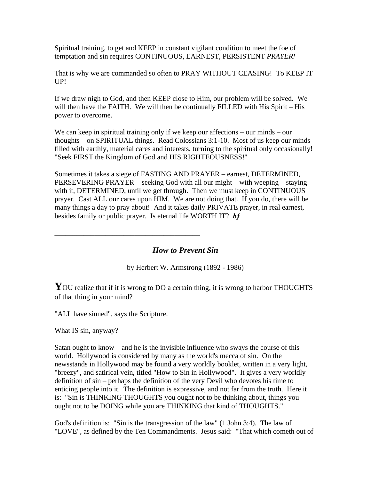Spiritual training, to get and KEEP in constant vigilant condition to meet the foe of temptation and sin requires CONTINUOUS, EARNEST, PERSISTENT *PRAYER!*

That is why we are commanded so often to PRAY WITHOUT CEASING! To KEEP IT UP!

If we draw nigh to God, and then KEEP close to Him, our problem will be solved. We will then have the FAITH. We will then be continually FILLED with His Spirit – His power to overcome.

We can keep in spiritual training only if we keep our affections – our minds – our thoughts – on SPIRITUAL things. Read Colossians 3:1-10. Most of us keep our minds filled with earthly, material cares and interests, turning to the spiritual only occasionally! "Seek FIRST the Kingdom of God and HIS RIGHTEOUSNESS!"

Sometimes it takes a siege of FASTING AND PRAYER – earnest, DETERMINED, PERSEVERING PRAYER – seeking God with all our might – with weeping – staying with it, DETERMINED, until we get through. Then we must keep in CONTINUOUS prayer. Cast ALL our cares upon HIM. We are not doing that. If you do, there will be many things a day to pray about! And it takes daily PRIVATE prayer, in real earnest, besides family or public prayer. Is eternal life WORTH IT? *bƒ*

*How to Prevent Sin*

by Herbert W. Armstrong (1892 - 1986)

YOU realize that if it is wrong to DO a certain thing, it is wrong to harbor THOUGHTS of that thing in your mind?

"ALL have sinned", says the Scripture.

\_\_\_\_\_\_\_\_\_\_\_\_\_\_\_\_\_\_\_\_\_\_\_\_\_\_\_\_\_\_\_\_\_\_\_\_\_\_\_\_

What IS sin, anyway?

Satan ought to know – and he is the invisible influence who sways the course of this world. Hollywood is considered by many as the world's mecca of sin. On the newsstands in Hollywood may be found a very worldly booklet, written in a very light, "breezy", and satirical vein, titled "How to Sin in Hollywood". It gives a very worldly definition of sin – perhaps the definition of the very Devil who devotes his time to enticing people into it. The definition is expressive, and not far from the truth. Here it is: "Sin is THINKING THOUGHTS you ought not to be thinking about, things you ought not to be DOING while you are THINKING that kind of THOUGHTS."

God's definition is: "Sin is the transgression of the law" (1 John 3:4). The law of "LOVE", as defined by the Ten Commandments. Jesus said: "That which cometh out of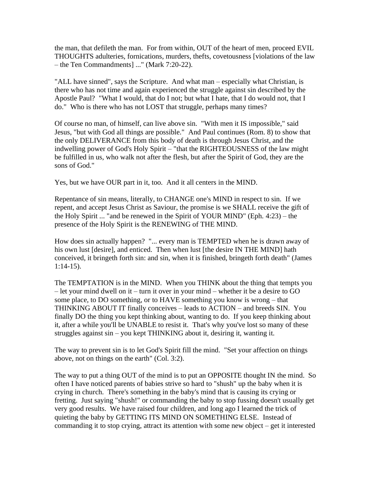the man, that defileth the man. For from within, OUT of the heart of men, proceed EVIL THOUGHTS adulteries, fornications, murders, thefts, covetousness [violations of the law – the Ten Commandments] ..." (Mark 7:20-22).

"ALL have sinned", says the Scripture. And what man – especially what Christian, is there who has not time and again experienced the struggle against sin described by the Apostle Paul? "What I would, that do I not; but what I hate, that I do would not, that I do." Who is there who has not LOST that struggle, perhaps many times?

Of course no man, of himself, can live above sin. "With men it IS impossible," said Jesus, "but with God all things are possible." And Paul continues (Rom. 8) to show that the only DELIVERANCE from this body of death is through Jesus Christ, and the indwelling power of God's Holy Spirit – "that the RIGHTEOUSNESS of the law might be fulfilled in us, who walk not after the flesh, but after the Spirit of God, they are the sons of God."

Yes, but we have OUR part in it, too. And it all centers in the MIND.

Repentance of sin means, literally, to CHANGE one's MIND in respect to sin. If we repent, and accept Jesus Christ as Saviour, the promise is we SHALL receive the gift of the Holy Spirit ... "and be renewed in the Spirit of YOUR MIND" (Eph. 4:23) – the presence of the Holy Spirit is the RENEWING of THE MIND.

How does sin actually happen? "... every man is TEMPTED when he is drawn away of his own lust [desire], and enticed. Then when lust [the desire IN THE MIND] hath conceived, it bringeth forth sin: and sin, when it is finished, bringeth forth death" (James 1:14-15).

The TEMPTATION is in the MIND. When you THINK about the thing that tempts you – let your mind dwell on it – turn it over in your mind – whether it be a desire to GO some place, to DO something, or to HAVE something you know is wrong – that THINKING ABOUT IT finally conceives – leads to ACTION – and breeds SIN. You finally DO the thing you kept thinking about, wanting to do. If you keep thinking about it, after a while you'll be UNABLE to resist it. That's why you've lost so many of these struggles against sin – you kept THINKING about it, desiring it, wanting it.

The way to prevent sin is to let God's Spirit fill the mind. "Set your affection on things above, not on things on the earth" (Col. 3:2).

The way to put a thing OUT of the mind is to put an OPPOSITE thought IN the mind. So often I have noticed parents of babies strive so hard to "shush" up the baby when it is crying in church. There's something in the baby's mind that is causing its crying or fretting. Just saying "shush!" or commanding the baby to stop fussing doesn't usually get very good results. We have raised four children, and long ago I learned the trick of quieting the baby by GETTING ITS MIND ON SOMETHING ELSE. Instead of commanding it to stop crying, attract its attention with some new object – get it interested